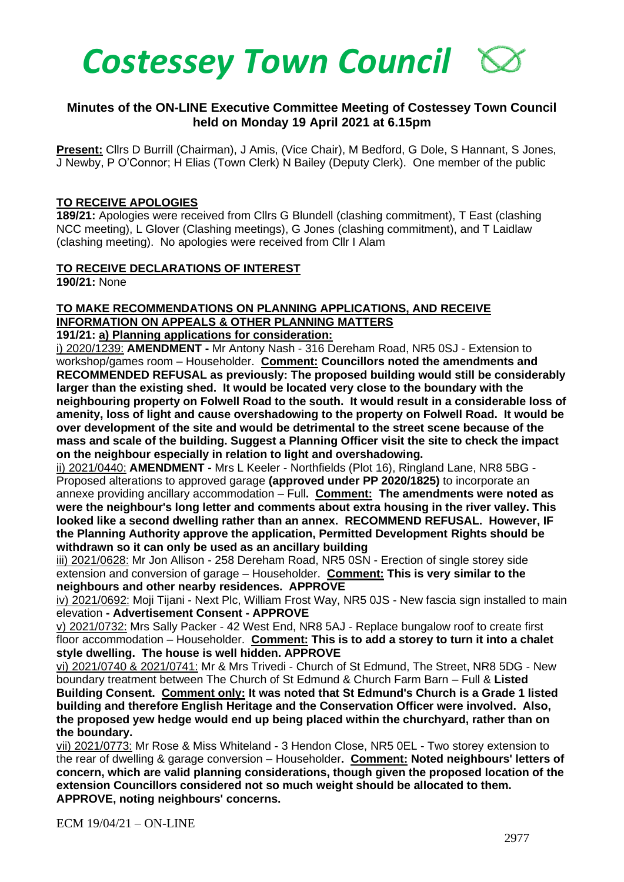

### **Minutes of the ON-LINE Executive Committee Meeting of Costessey Town Council held on Monday 19 April 2021 at 6.15pm**

**Present:** Cllrs D Burrill (Chairman), J Amis, (Vice Chair), M Bedford, G Dole, S Hannant, S Jones, J Newby, P O'Connor; H Elias (Town Clerk) N Bailey (Deputy Clerk). One member of the public

#### **TO RECEIVE APOLOGIES**

**189/21:** Apologies were received from Cllrs G Blundell (clashing commitment), T East (clashing NCC meeting), L Glover (Clashing meetings), G Jones (clashing commitment), and T Laidlaw (clashing meeting). No apologies were received from Cllr I Alam

#### **TO RECEIVE DECLARATIONS OF INTEREST**

**190/21:** None

## **TO MAKE RECOMMENDATIONS ON PLANNING APPLICATIONS, AND RECEIVE INFORMATION ON APPEALS & OTHER PLANNING MATTERS**

**191/21: a) Planning applications for consideration:**

i) 2020/1239: **AMENDMENT -** Mr Antony Nash - 316 Dereham Road, NR5 0SJ - Extension to workshop/games room – Householder. **Comment: Councillors noted the amendments and RECOMMENDED REFUSAL as previously: The proposed building would still be considerably larger than the existing shed. It would be located very close to the boundary with the neighbouring property on Folwell Road to the south. It would result in a considerable loss of amenity, loss of light and cause overshadowing to the property on Folwell Road. It would be over development of the site and would be detrimental to the street scene because of the mass and scale of the building. Suggest a Planning Officer visit the site to check the impact on the neighbour especially in relation to light and overshadowing.**

ii) 2021/0440: **AMENDMENT -** Mrs L Keeler - Northfields (Plot 16), Ringland Lane, NR8 5BG - Proposed alterations to approved garage **(approved under PP 2020/1825)** to incorporate an annexe providing ancillary accommodation – Full**. Comment: The amendments were noted as were the neighbour's long letter and comments about extra housing in the river valley. This looked like a second dwelling rather than an annex. RECOMMEND REFUSAL. However, IF the Planning Authority approve the application, Permitted Development Rights should be withdrawn so it can only be used as an ancillary building**

iii) 2021/0628: Mr Jon Allison - 258 Dereham Road, NR5 0SN - Erection of single storey side extension and conversion of garage – Householder. **Comment: This is very similar to the neighbours and other nearby residences. APPROVE**

iv) 2021/0692: Moii Tijani - Next Plc, William Frost Way, NR5 0JS - New fascia sign installed to main elevation **- Advertisement Consent - APPROVE**

v) 2021/0732: Mrs Sally Packer - 42 West End, NR8 5AJ - Replace bungalow roof to create first floor accommodation – Householder. **Comment: This is to add a storey to turn it into a chalet style dwelling. The house is well hidden. APPROVE**

vi) 2021/0740 & 2021/0741: Mr & Mrs Trivedi - Church of St Edmund, The Street, NR8 5DG - New boundary treatment between The Church of St Edmund & Church Farm Barn – Full & **Listed Building Consent. Comment only: It was noted that St Edmund's Church is a Grade 1 listed building and therefore English Heritage and the Conservation Officer were involved. Also, the proposed yew hedge would end up being placed within the churchyard, rather than on the boundary.**

vii) 2021/0773: Mr Rose & Miss Whiteland - 3 Hendon Close, NR5 0EL - Two storey extension to the rear of dwelling & garage conversion – Householder**. Comment: Noted neighbours' letters of concern, which are valid planning considerations, though given the proposed location of the extension Councillors considered not so much weight should be allocated to them. APPROVE, noting neighbours' concerns.**